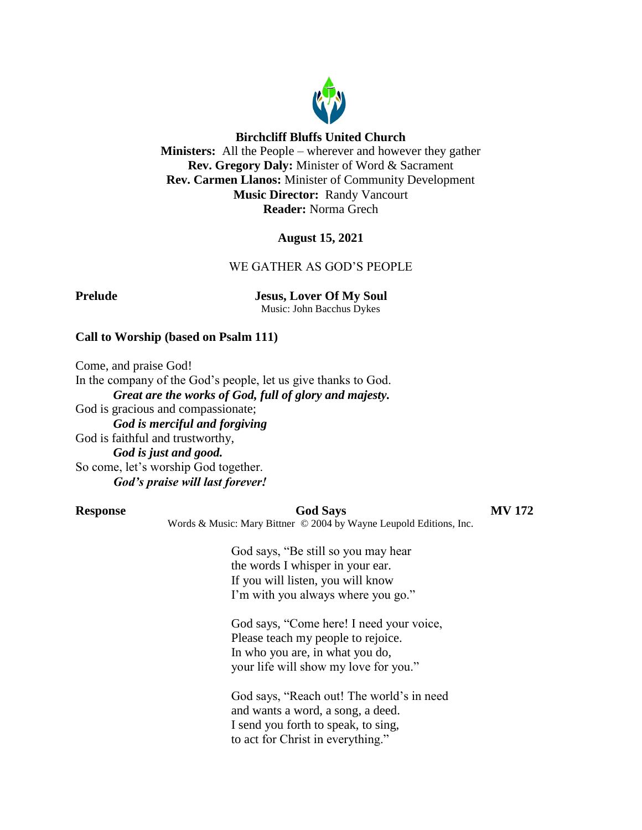

#### **Birchcliff Bluffs United Church**

**Ministers:** All the People – wherever and however they gather **Rev. Gregory Daly:** Minister of Word & Sacrament **Rev. Carmen Llanos:** Minister of Community Development **Music Director:** Randy Vancourt **Reader:** Norma Grech

#### **August 15, 2021**

#### WE GATHER AS GOD'S PEOPLE

**Prelude Jesus, Lover Of My Soul** Music: John Bacchus Dykes

#### **Call to Worship (based on Psalm 111)**

Come, and praise God!

In the company of the God's people, let us give thanks to God. *Great are the works of God, full of glory and majesty.* God is gracious and compassionate; *God is merciful and forgiving* God is faithful and trustworthy, *God is just and good.* So come, let's worship God together. *God's praise will last forever!*

#### **Response God Says MV 172**

Words & Music: Mary Bittner © 2004 by Wayne Leupold Editions, Inc.

God says, "Be still so you may hear the words I whisper in your ear. If you will listen, you will know I'm with you always where you go."

God says, "Come here! I need your voice, Please teach my people to rejoice. In who you are, in what you do, your life will show my love for you."

God says, "Reach out! The world's in need and wants a word, a song, a deed. I send you forth to speak, to sing, to act for Christ in everything."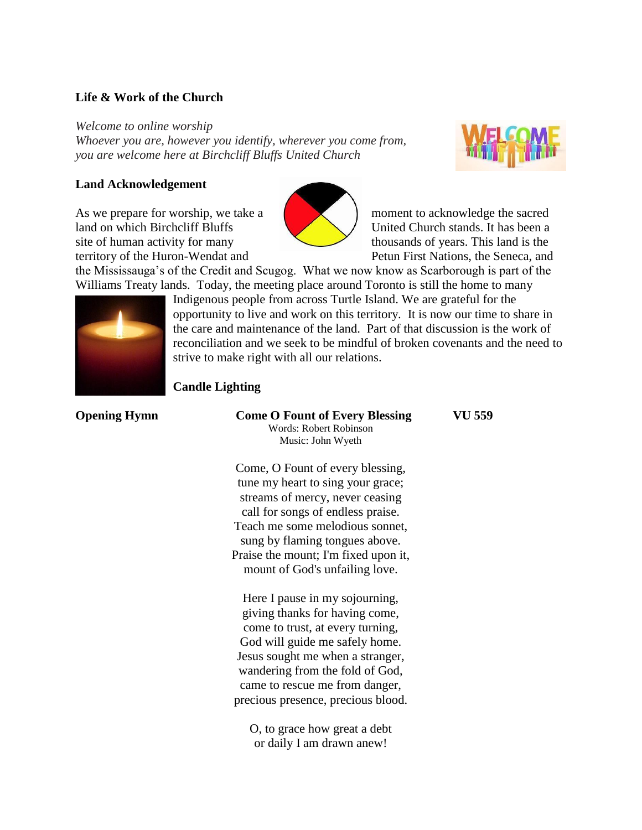#### **Life & Work of the Church**

*Welcome to online worship*

*Whoever you are, however you identify, wherever you come from, you are welcome here at Birchcliff Bluffs United Church*

#### **Land Acknowledgement**

As we prepare for worship, we take a moment to acknowledge the sacred land on which Birchcliff Bluffs United Church stands. It has been a site of human activity for many thousands of years. This land is the territory of the Huron-Wendat and Petun First Nations, the Seneca, and





the Mississauga's of the Credit and Scugog. What we now know as Scarborough is part of the Williams Treaty lands. Today, the meeting place around Toronto is still the home to many



Indigenous people from across Turtle Island. We are grateful for the opportunity to live and work on this territory. It is now our time to share in the care and maintenance of the land. Part of that discussion is the work of reconciliation and we seek to be mindful of broken covenants and the need to strive to make right with all our relations.

| <b>Candle Lighting</b> |                                                                                      |        |
|------------------------|--------------------------------------------------------------------------------------|--------|
| <b>Opening Hymn</b>    | <b>Come O Fount of Every Blessing</b><br>Words: Robert Robinson<br>Music: John Wyeth | VU 559 |
|                        | Come, O Fount of every blessing,<br>tune my heart to sing your grace;                |        |

O Fount of every blessing, ny heart to sing your grace; streams of mercy, never ceasing call for songs of endless praise. Teach me some melodious sonnet, sung by flaming tongues above. Praise the mount; I'm fixed upon it, mount of God's unfailing love.

Here I pause in my sojourning, giving thanks for having come, come to trust, at every turning, God will guide me safely home. Jesus sought me when a stranger, wandering from the fold of God, came to rescue me from danger, precious presence, precious blood.

O, to grace how great a debt or daily I am drawn anew!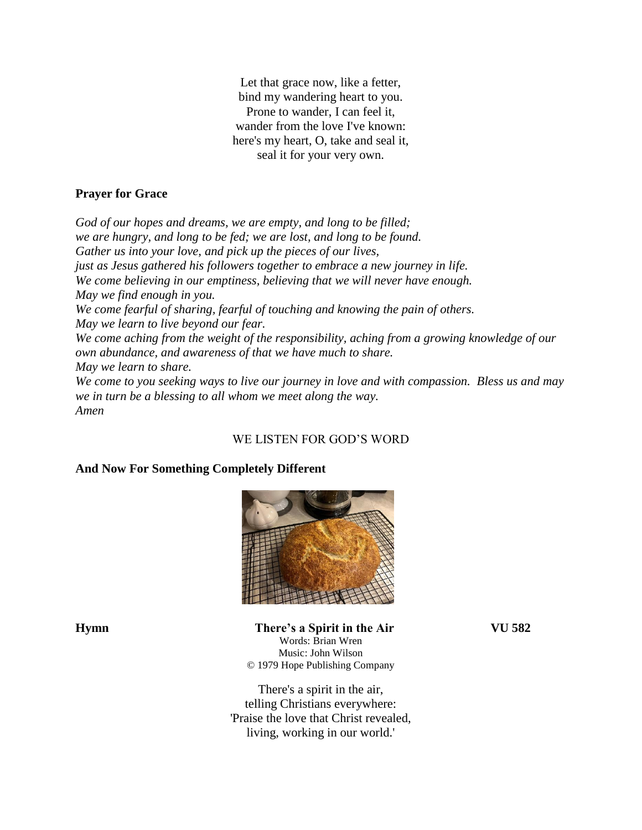Let that grace now, like a fetter, bind my wandering heart to you. Prone to wander, I can feel it, wander from the love I've known: here's my heart, O, take and seal it, seal it for your very own.

#### **Prayer for Grace**

*God of our hopes and dreams, we are empty, and long to be filled; we are hungry, and long to be fed; we are lost, and long to be found. Gather us into your love, and pick up the pieces of our lives, just as Jesus gathered his followers together to embrace a new journey in life. We come believing in our emptiness, believing that we will never have enough. May we find enough in you. We come fearful of sharing, fearful of touching and knowing the pain of others. May we learn to live beyond our fear. We come aching from the weight of the responsibility, aching from a growing knowledge of our own abundance, and awareness of that we have much to share. May we learn to share. We come to you seeking ways to live our journey in love and with compassion. Bless us and may we in turn be a blessing to all whom we meet along the way.*

WE LISTEN FOR GOD'S WORD

# **And Now For Something Completely Different**



*Amen*

**Hymn There's a Spirit in the Air VU 582** Words: Brian Wren Music: John Wilson © 1979 Hope Publishing Company

> There's a spirit in the air, telling Christians everywhere: 'Praise the love that Christ revealed, living, working in our world.'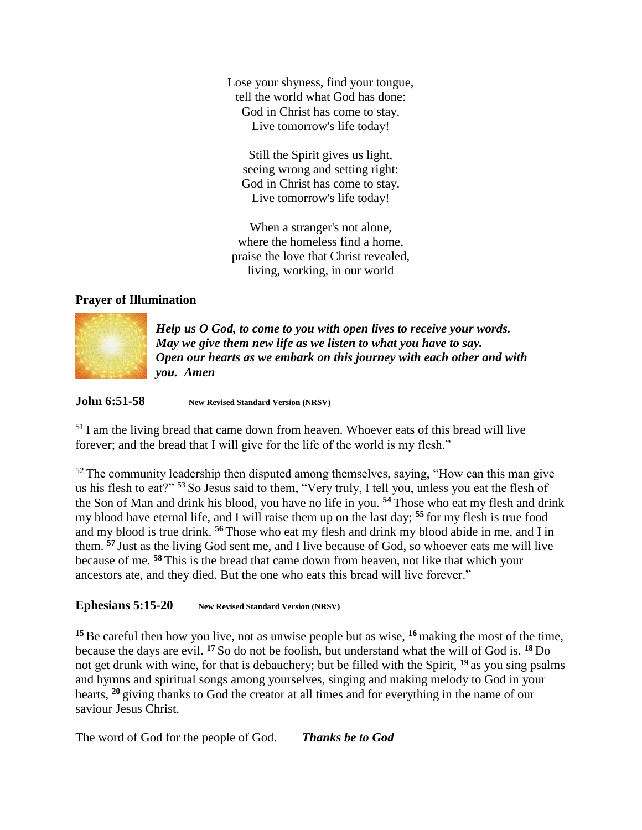Lose your shyness, find your tongue, tell the world what God has done: God in Christ has come to stay. Live tomorrow's life today!

Still the Spirit gives us light, seeing wrong and setting right: God in Christ has come to stay. Live tomorrow's life today!

When a stranger's not alone, where the homeless find a home, praise the love that Christ revealed, living, working, in our world

### **Prayer of Illumination**



*Help us O God, to come to you with open lives to receive your words. May we give them new life as we listen to what you have to say. Open our hearts as we embark on this journey with each other and with you. Amen*

#### **John 6:51-58 New Revised Standard Version (NRSV)**

<sup>51</sup> I am the living bread that came down from heaven. Whoever eats of this bread will live forever; and the bread that I will give for the life of the world is my flesh."

 $52$  The community leadership then disputed among themselves, saying, "How can this man give us his flesh to eat?" <sup>53</sup> So Jesus said to them, "Very truly, I tell you, unless you eat the flesh of the Son of Man and drink his blood, you have no life in you. **<sup>54</sup>** Those who eat my flesh and drink my blood have eternal life, and I will raise them up on the last day; **<sup>55</sup>** for my flesh is true food and my blood is true drink. **<sup>56</sup>** Those who eat my flesh and drink my blood abide in me, and I in them. **<sup>57</sup>** Just as the living God sent me, and I live because of God, so whoever eats me will live because of me. **<sup>58</sup>** This is the bread that came down from heaven, not like that which your ancestors ate, and they died. But the one who eats this bread will live forever."

#### **Ephesians 5:15-20 New Revised Standard Version (NRSV)**

**<sup>15</sup>**Be careful then how you live, not as unwise people but as wise, **<sup>16</sup>** making the most of the time, because the days are evil. **<sup>17</sup>** So do not be foolish, but understand what the will of God is. **<sup>18</sup>** Do not get drunk with wine, for that is debauchery; but be filled with the Spirit, **<sup>19</sup>** as you sing psalms and hymns and spiritual songs among yourselves, singing and making melody to God in your hearts, **<sup>20</sup>** giving thanks to God the creator at all times and for everything in the name of our saviour Jesus Christ.

The word of God for the people of God. *Thanks be to God*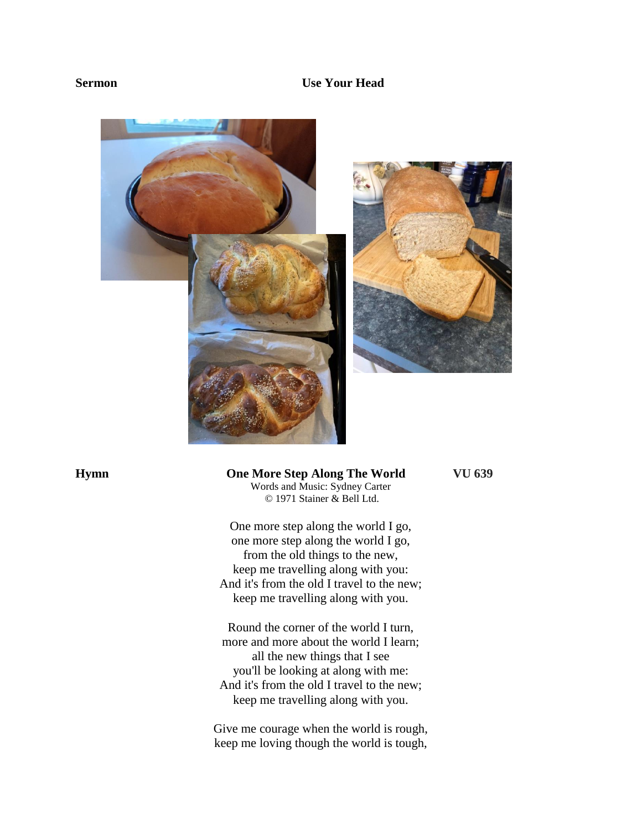#### **Sermon Use Your Head**





## **Hymn One More Step Along The World VU 639**

Words and Music: Sydney Carter © 1971 Stainer & Bell Ltd.

One more step along the world I go, one more step along the world I go, from the old things to the new, keep me travelling along with you: And it's from the old I travel to the new; keep me travelling along with you.

Round the corner of the world I turn, more and more about the world I learn; all the new things that I see you'll be looking at along with me: And it's from the old I travel to the new; keep me travelling along with you.

Give me courage when the world is rough, keep me loving though the world is tough,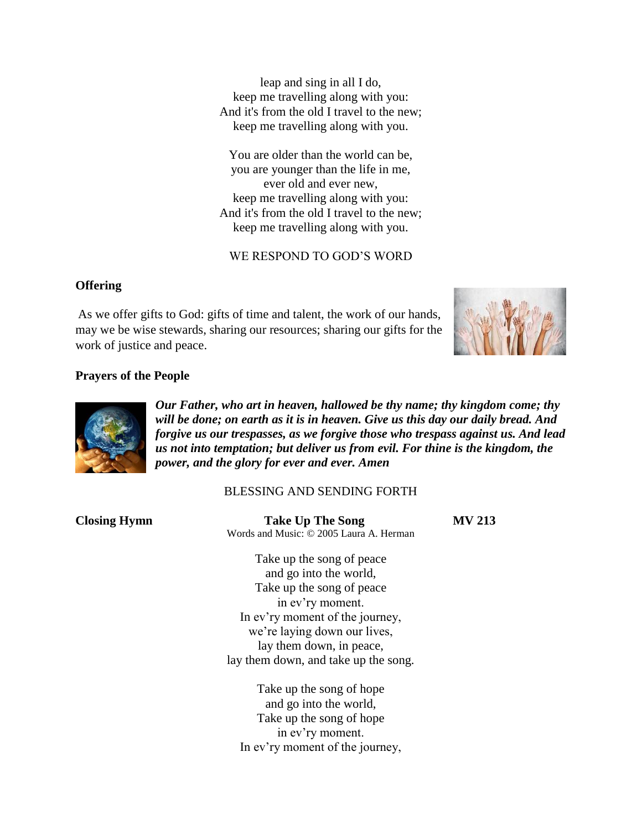leap and sing in all I do, keep me travelling along with you: And it's from the old I travel to the new; keep me travelling along with you.

You are older than the world can be, you are younger than the life in me, ever old and ever new, keep me travelling along with you: And it's from the old I travel to the new; keep me travelling along with you.

WE RESPOND TO GOD'S WORD

#### **Offering**

As we offer gifts to God: gifts of time and talent, the work of our hands, may we be wise stewards, sharing our resources; sharing our gifts for the work of justice and peace.



#### **Prayers of the People**



*Our Father, who art in heaven, hallowed be thy name; thy kingdom come; thy will be done; on earth as it is in heaven. Give us this day our daily bread. And forgive us our trespasses, as we forgive those who trespass against us. And lead us not into temptation; but deliver us from evil. For thine is the kingdom, the power, and the glory for ever and ever. Amen*

### BLESSING AND SENDING FORTH

**Closing Hymn Take Up The Song MV 213** Words and Music: © 2005 Laura A. Herman

> Take up the song of peace and go into the world, Take up the song of peace in ev'ry moment. In ev'ry moment of the journey, we're laying down our lives, lay them down, in peace, lay them down, and take up the song.

Take up the song of hope and go into the world, Take up the song of hope in ev'ry moment. In ev'ry moment of the journey,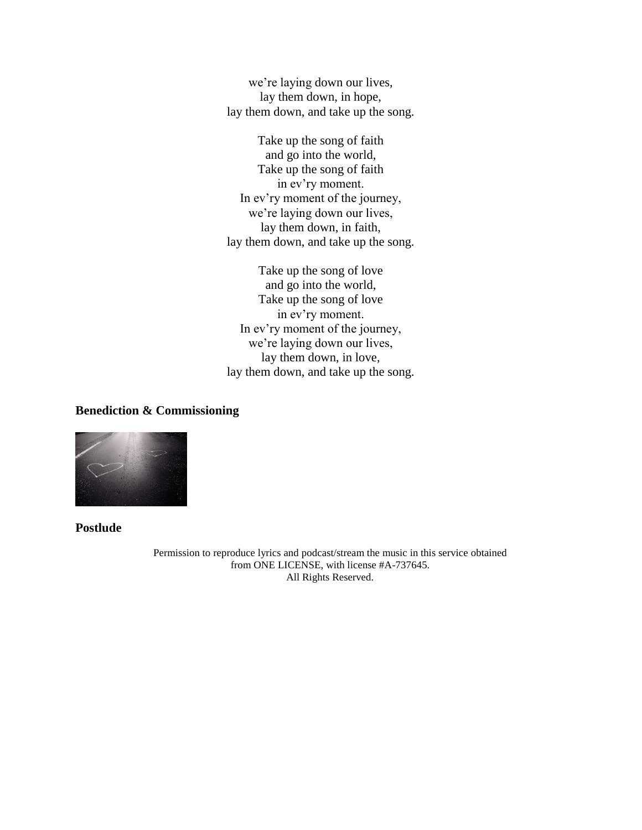we're laying down our lives, lay them down, in hope, lay them down, and take up the song.

Take up the song of faith and go into the world, Take up the song of faith in ev'ry moment. In ev'ry moment of the journey, we're laying down our lives, lay them down, in faith, lay them down, and take up the song.

Take up the song of love and go into the world, Take up the song of love in ev'ry moment. In ev'ry moment of the journey, we're laying down our lives, lay them down, in love, lay them down, and take up the song.

#### **Benediction & Commissioning**



**Postlude** 

Permission to reproduce lyrics and podcast/stream the music in this service obtained from ONE LICENSE, with license #A-737645. All Rights Reserved.